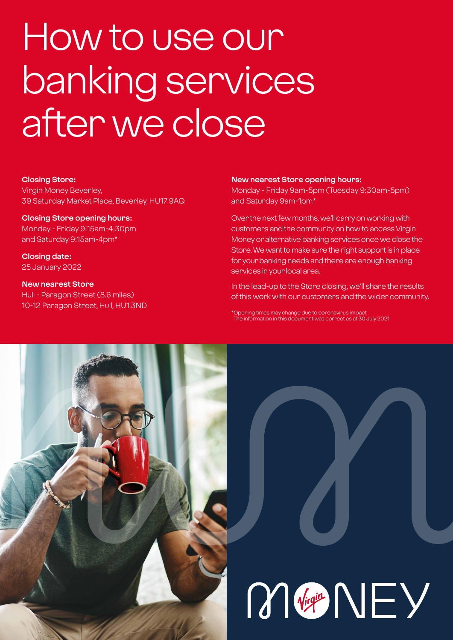## How to use our banking services after we close

#### **Closing Store:**

Virgin Money Beverley, 39 Saturday Market Place, Beverley, HU17 9AQ

#### **Closing Store opening hours:**

Monday - Friday 9:15am-4:30pm and Saturday 9:15am-4pm\*

**Closing date:**  25 January 2022

#### **New nearest Store** Hull - Paragon Street (8.6 miles) 10-12 Paragon Street, Hull, HU1 3ND

#### **New nearest Store opening hours:**

Monday - Friday 9am-5pm (Tuesday 9:30am-5pm) and Saturday 9am-1pm\*

Over the next few months, we'll carry on working with customers and the community on how to access Virgin Money or alternative banking services once we close the Store. We want to make sure the right support is in place for your banking needs and there are enough banking services in your local area.

In the lead-up to the Store closing, we'll share the results of this work with our customers and the wider community.

\*Opening times may change due to coronavirus impact The information in this document was correct as at 30 July 2021



# M Vigit NEY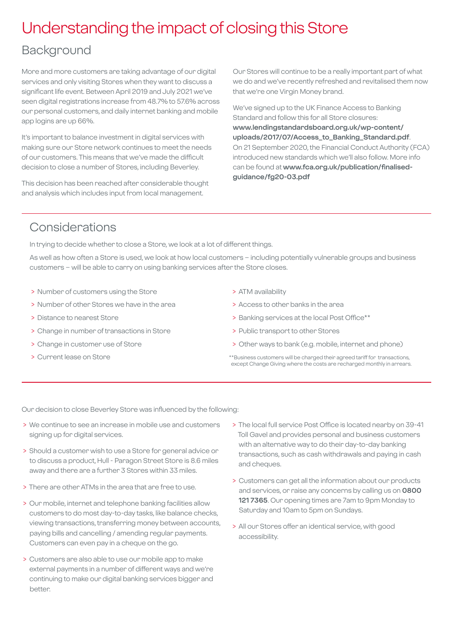## Understanding the impact of closing this Store

### Background

More and more customers are taking advantage of our digital services and only visiting Stores when they want to discuss a significant life event. Between April 2019 and July 2021 we've seen digital registrations increase from 48.7% to 57.6% across our personal customers, and daily internet banking and mobile app logins are up 66%.

It's important to balance investment in digital services with making sure our Store network continues to meet the needs of our customers. This means that we've made the difficult decision to close a number of Stores, including Beverley.

This decision has been reached after considerable thought and analysis which includes input from local management.

Our Stores will continue to be a really important part of what we do and we've recently refreshed and revitalised them now that we're one Virgin Money brand.

We've signed up to the UK Finance Access to Banking Standard and follow this for all Store closures: **[www.lendingstandardsboard.org.uk/wp-content/](http://www.lendingstandardsboard.org.uk/wp-content/uploads/2017/07/Access_to_Banking_Standard.pdf) [uploads/2017/07/Access\\_to\\_Banking\\_Standard.pdf](http://www.lendingstandardsboard.org.uk/wp-content/uploads/2017/07/Access_to_Banking_Standard.pdf)**. On 21 September 2020, the Financial Conduct Authority (FCA) introduced new standards which we'll also follow. More info can be found at **[www.fca.org.uk/publication/finalised](http://www.fca.org.uk/publication/finalised-guidance/fg20-03.pdf)[guidance/fg20-03.pdf](http://www.fca.org.uk/publication/finalised-guidance/fg20-03.pdf)**

### Considerations

In trying to decide whether to close a Store, we look at a lot of different things.

As well as how often a Store is used, we look at how local customers – including potentially vulnerable groups and business customers – will be able to carry on using banking services after the Store closes.

- > Number of customers using the Store
- > Number of other Stores we have in the area
- > Distance to nearest Store
- > Change in number of transactions in Store
- > Change in customer use of Store
- > Current lease on Store
- > ATM availability
- > Access to other banks in the area
- > Banking services at the local Post Office\*\*
- > Public transport to other Stores
- > Other ways to bank (e.g. mobile, internet and phone)
- \*\*Business customers will be charged their agreed tariff for transactions, except Change Giving where the costs are recharged monthly in arrears.

Our decision to close Beverley Store was influenced by the following:

- > We continue to see an increase in mobile use and customers signing up for digital services.
- > Should a customer wish to use a Store for general advice or to discuss a product, Hull - Paragon Street Store is 8.6 miles away and there are a further 3 Stores within 33 miles.
- > There are other ATMs in the area that are free to use.
- > Our mobile, internet and telephone banking facilities allow customers to do most day-to-day tasks, like balance checks, viewing transactions, transferring money between accounts, paying bills and cancelling / amending regular payments. Customers can even pay in a cheque on the go.
- > Customers are also able to use our mobile app to make external payments in a number of different ways and we're continuing to make our digital banking services bigger and better.
- > The local full service Post Office is located nearby on 39-41 Toll Gavel and provides personal and business customers with an alternative way to do their day-to-day banking transactions, such as cash withdrawals and paying in cash and cheques.
- > Customers can get all the information about our products and services, or raise any concerns by calling us on **0800 121 7365**. Our opening times are 7am to 9pm Monday to Saturday and 10am to 5pm on Sundays.
- > All our Stores offer an identical service, with good accessibility.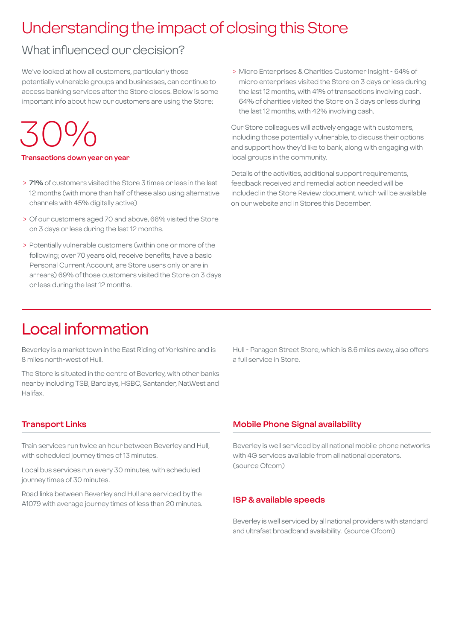## Understanding the impact of closing this Store

## What influenced our decision?

We've looked at how all customers, particularly those potentially vulnerable groups and businesses, can continue to access banking services after the Store closes. Below is some important info about how our customers are using the Store:

## 30%

#### **Transactions down year on year**

- > **71%** of customers visited the Store 3 times or less in the last 12 months (with more than half of these also using alternative channels with 45% digitally active)
- > Of our customers aged 70 and above, 66% visited the Store on 3 days or less during the last 12 months.
- > Potentially vulnerable customers (within one or more of the following; over 70 years old, receive benefits, have a basic Personal Current Account, are Store users only or are in arrears) 69% of those customers visited the Store on 3 days or less during the last 12 months.

 > Micro Enterprises & Charities Customer Insight - 64% of micro enterprises visited the Store on 3 days or less during the last 12 months, with 41% of transactions involving cash. 64% of charities visited the Store on 3 days or less during the last 12 months, with 42% involving cash.

Our Store colleagues will actively engage with customers, including those potentially vulnerable, to discuss their options and support how they'd like to bank, along with engaging with local groups in the community.

Details of the activities, additional support requirements, feedback received and remedial action needed will be included in the Store Review document, which will be available on our website and in Stores this December.

## Local information

Beverley is a market town in the East Riding of Yorkshire and is 8 miles north-west of Hull.

The Store is situated in the centre of Beverley, with other banks nearby including TSB, Barclays, HSBC, Santander, NatWest and Halifax.

Hull - Paragon Street Store, which is 8.6 miles away, also offers a full service in Store.

#### **Transport Links**

Train services run twice an hour between Beverley and Hull, with scheduled journey times of 13 minutes.

Local bus services run every 30 minutes, with scheduled journey times of 30 minutes.

Road links between Beverley and Hull are serviced by the A1079 with average journey times of less than 20 minutes.

#### **Mobile Phone Signal availability**

Beverley is well serviced by all national mobile phone networks with 4G services available from all national operators. (source Ofcom)

#### **ISP & available speeds**

Beverley is well serviced by all national providers with standard and ultrafast broadband availability. (source Ofcom)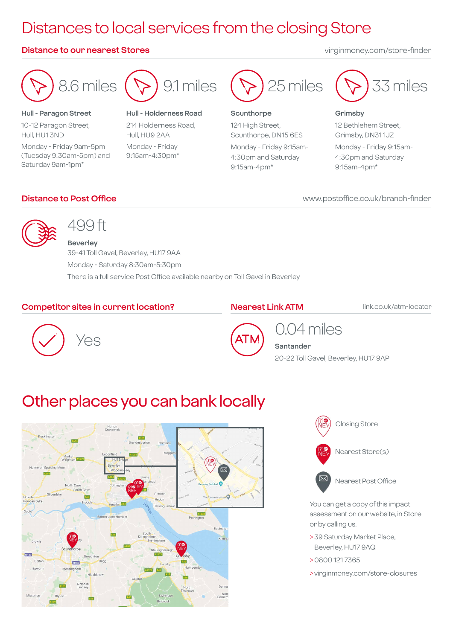## Distances to local services from the closing Store

#### **Distance to our nearest Stores** virginmoney.com/store-finder



**Hull - Paragon Street** 10-12 Paragon Street, Hull, HU1 3ND Monday - Friday 9am-5pm (Tuesday 9:30am-5pm) and Saturday 9am-1pm\*



**Hull - Holderness Road**

214 Holderness Road, Hull, HU9 2AA Monday - Friday 9:15am-4:30pm\*



#### **Scunthorpe**

124 High Street, Scunthorpe, DN15 6ES Monday - Friday 9:15am-4:30pm and Saturday 9:15am-4pm\*



#### **Grimsby**

12 Bethlehem Street, Grimsby, DN31 1JZ Monday - Friday 9:15am-4:30pm and Saturday 9:15am-4pm\*

#### **Distance to Post Office**

www.postoffice.co.uk/branch-finder



## 499 ft

**Beverley** 39-41 Toll Gavel, Beverley, HU17 9AA Monday - Saturday 8:30am-5:30pm There is a full service Post Office available nearby on Toll Gavel in Beverley

#### **Competitor sites in current location?**

#### **Nearest Link ATM**

link.co.uk/atm-locator





## 0.04 miles

**Santander** 20-22 Toll Gavel, Beverley, HU17 9AP

## Other places you can bank locally





You can get a copy of this impact assessment on our website, in Store or by calling us.

- > 39 Saturday Market Place, Beverley, HU17 9AQ
- > 0800 121 7365
- > virginmoney.com/store-closures